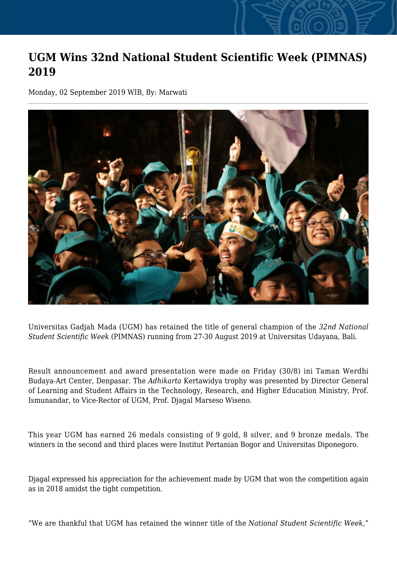## **UGM Wins 32nd National Student Scientific Week (PIMNAS) 2019**

Monday, 02 September 2019 WIB, By: Marwati



Universitas Gadjah Mada (UGM) has retained the title of general champion of the *32nd National Student Scientific Week* (PIMNAS) running from 27-30 August 2019 at Universitas Udayana, Bali.

Result announcement and award presentation were made on Friday (30/8) ini Taman Werdhi Budaya-Art Center, Denpasar. The *Adhikarta* Kertawidya trophy was presented by Director General of Learning and Student Affairs in the Technology, Research, and Higher Education Ministry, Prof. Ismunandar, to Vice-Rector of UGM, Prof. Djagal Marseso Wiseno.

This year UGM has earned 26 medals consisting of 9 gold, 8 silver, and 9 bronze medals. The winners in the second and third places were Institut Pertanian Bogor and Universitas Diponegoro.

Djagal expressed his appreciation for the achievement made by UGM that won the competition again as in 2018 amidst the tight competition.

"We are thankful that UGM has retained the winner title of the *National Student Scientific Week,*"